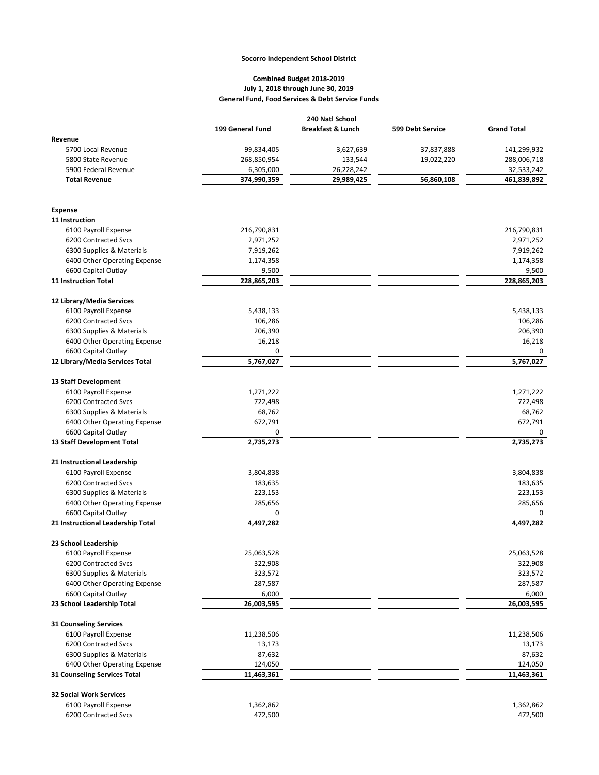## **Socorro Independent School District**

## **General Fund, Food Services & Debt Service Funds Combined Budget 2018-2019 July 1, 2018 through June 30, 2019**

|                                                           | 199 General Fund      | <b>Breakfast &amp; Lunch</b> | 599 Debt Service | <b>Grand Total</b>    |
|-----------------------------------------------------------|-----------------------|------------------------------|------------------|-----------------------|
| Revenue                                                   |                       |                              |                  |                       |
| 5700 Local Revenue                                        | 99,834,405            | 3,627,639                    | 37,837,888       | 141,299,932           |
| 5800 State Revenue                                        | 268,850,954           | 133,544                      | 19,022,220       | 288,006,718           |
| 5900 Federal Revenue                                      | 6,305,000             | 26,228,242                   |                  | 32,533,242            |
| <b>Total Revenue</b>                                      | 374,990,359           | 29,989,425                   | 56,860,108       | 461,839,892           |
| <b>Expense</b>                                            |                       |                              |                  |                       |
| 11 Instruction                                            |                       |                              |                  |                       |
| 6100 Payroll Expense                                      | 216,790,831           |                              |                  | 216,790,831           |
| 6200 Contracted Svcs                                      | 2,971,252             |                              |                  | 2,971,252             |
| 6300 Supplies & Materials                                 | 7,919,262             |                              |                  | 7,919,262             |
| 6400 Other Operating Expense                              | 1,174,358             |                              |                  | 1,174,358             |
| 6600 Capital Outlay                                       | 9,500                 |                              |                  | 9,500                 |
| 11 Instruction Total                                      | 228,865,203           |                              |                  | 228,865,203           |
| 12 Library/Media Services                                 |                       |                              |                  |                       |
| 6100 Payroll Expense                                      | 5,438,133             |                              |                  | 5,438,133             |
| 6200 Contracted Svcs                                      | 106,286               |                              |                  | 106,286               |
| 6300 Supplies & Materials                                 | 206,390               |                              |                  | 206,390               |
| 6400 Other Operating Expense                              | 16,218                |                              |                  | 16,218                |
| 6600 Capital Outlay                                       | 0                     |                              |                  | 0                     |
| 12 Library/Media Services Total                           | 5,767,027             |                              |                  | 5,767,027             |
| 13 Staff Development                                      |                       |                              |                  |                       |
| 6100 Payroll Expense                                      | 1,271,222             |                              |                  | 1,271,222             |
| 6200 Contracted Svcs                                      | 722,498               |                              |                  | 722,498               |
| 6300 Supplies & Materials                                 | 68,762                |                              |                  | 68,762                |
| 6400 Other Operating Expense                              | 672,791               |                              |                  | 672,791               |
| 6600 Capital Outlay                                       | 0                     |                              |                  | 0                     |
| 13 Staff Development Total                                | 2,735,273             |                              |                  | 2,735,273             |
| 21 Instructional Leadership                               |                       |                              |                  |                       |
| 6100 Payroll Expense                                      | 3,804,838             |                              |                  | 3,804,838             |
| 6200 Contracted Svcs                                      | 183,635               |                              |                  | 183,635               |
| 6300 Supplies & Materials                                 | 223,153               |                              |                  | 223,153               |
| 6400 Other Operating Expense                              | 285,656               |                              |                  | 285,656               |
| 6600 Capital Outlay                                       | 0                     |                              |                  | 0                     |
| 21 Instructional Leadership Total                         | 4,497,282             |                              |                  | 4,497,282             |
| 23 School Leadership                                      |                       |                              |                  |                       |
| 6100 Payroll Expense                                      | 25,063,528            |                              |                  | 25,063,528            |
| 6200 Contracted Svcs                                      | 322,908               |                              |                  | 322,908               |
| 6300 Supplies & Materials                                 | 323,572               |                              |                  | 323,572               |
| 6400 Other Operating Expense                              | 287,587               |                              |                  | 287,587               |
| 6600 Capital Outlay                                       | 6,000                 |                              |                  | 6,000                 |
| 23 School Leadership Total                                | 26,003,595            |                              |                  | 26,003,595            |
| 31 Counseling Services                                    |                       |                              |                  |                       |
| 6100 Payroll Expense                                      | 11,238,506            |                              |                  | 11,238,506            |
| 6200 Contracted Svcs                                      | 13,173                |                              |                  | 13,173                |
| 6300 Supplies & Materials<br>6400 Other Operating Expense | 87,632                |                              |                  | 87,632                |
| 31 Counseling Services Total                              | 124,050<br>11,463,361 |                              |                  | 124,050<br>11,463,361 |
| <b>32 Social Work Services</b>                            |                       |                              |                  |                       |
| 6100 Payroll Expense                                      | 1,362,862             |                              |                  | 1,362,862             |
| 6200 Contracted Svcs                                      | 472,500               |                              |                  | 472,500               |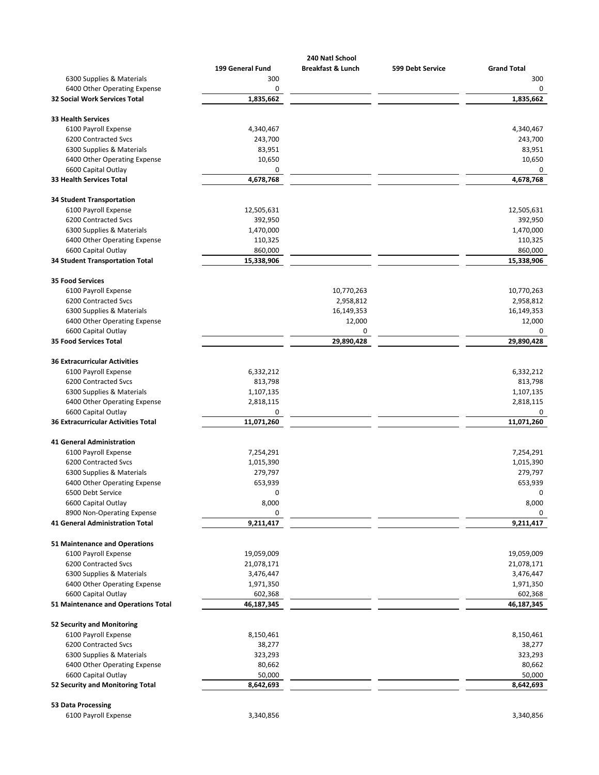|                                        |                  | 240 Natl School              |                  |                    |
|----------------------------------------|------------------|------------------------------|------------------|--------------------|
|                                        | 199 General Fund | <b>Breakfast &amp; Lunch</b> | 599 Debt Service | <b>Grand Total</b> |
| 6300 Supplies & Materials              | 300              |                              |                  | 300                |
| 6400 Other Operating Expense           | 0                |                              |                  | 0                  |
| <b>32 Social Work Services Total</b>   | 1,835,662        |                              |                  | 1,835,662          |
| 33 Health Services                     |                  |                              |                  |                    |
| 6100 Payroll Expense                   | 4,340,467        |                              |                  | 4,340,467          |
| 6200 Contracted Svcs                   | 243,700          |                              |                  | 243,700            |
| 6300 Supplies & Materials              | 83,951           |                              |                  | 83,951             |
| 6400 Other Operating Expense           | 10,650           |                              |                  | 10,650             |
| 6600 Capital Outlay                    | 0                |                              |                  | 0                  |
| <b>33 Health Services Total</b>        | 4,678,768        |                              |                  | 4,678,768          |
| <b>34 Student Transportation</b>       |                  |                              |                  |                    |
| 6100 Payroll Expense                   | 12,505,631       |                              |                  | 12,505,631         |
| 6200 Contracted Svcs                   | 392,950          |                              |                  | 392,950            |
| 6300 Supplies & Materials              | 1,470,000        |                              |                  | 1,470,000          |
| 6400 Other Operating Expense           | 110,325          |                              |                  | 110,325            |
| 6600 Capital Outlay                    | 860,000          |                              |                  | 860,000            |
| <b>34 Student Transportation Total</b> | 15,338,906       |                              |                  | 15,338,906         |
| <b>35 Food Services</b>                |                  |                              |                  |                    |
| 6100 Payroll Expense                   |                  | 10,770,263                   |                  | 10,770,263         |
| 6200 Contracted Svcs                   |                  | 2,958,812                    |                  | 2,958,812          |
| 6300 Supplies & Materials              |                  | 16,149,353                   |                  | 16,149,353         |
| 6400 Other Operating Expense           |                  | 12,000                       |                  | 12,000             |
| 6600 Capital Outlay                    |                  | 0                            |                  | 0                  |
| <b>35 Food Services Total</b>          |                  | 29,890,428                   |                  | 29,890,428         |
| <b>36 Extracurricular Activities</b>   |                  |                              |                  |                    |
| 6100 Payroll Expense                   | 6,332,212        |                              |                  | 6,332,212          |
| 6200 Contracted Svcs                   | 813,798          |                              |                  | 813,798            |
| 6300 Supplies & Materials              | 1,107,135        |                              |                  | 1,107,135          |
| 6400 Other Operating Expense           | 2,818,115        |                              |                  | 2,818,115          |
| 6600 Capital Outlay                    | 0                |                              |                  | 0                  |
| 36 Extracurricular Activities Total    | 11,071,260       |                              |                  | 11,071,260         |
| <b>41 General Administration</b>       |                  |                              |                  |                    |
| 6100 Payroll Expense                   | 7,254,291        |                              |                  | 7,254,291          |
| 6200 Contracted Svcs                   | 1,015,390        |                              |                  | 1,015,390          |
| 6300 Supplies & Materials              | 279,797          |                              |                  | 279,797            |
| 6400 Other Operating Expense           | 653,939          |                              |                  | 653,939            |
| 6500 Debt Service                      | 0                |                              |                  | 0                  |
| 6600 Capital Outlay                    | 8,000            |                              |                  | 8,000              |
| 8900 Non-Operating Expense             | 0                |                              |                  | 0                  |
| <b>41 General Administration Total</b> | 9,211,417        |                              |                  | 9,211,417          |
| 51 Maintenance and Operations          |                  |                              |                  |                    |
| 6100 Payroll Expense                   | 19,059,009       |                              |                  | 19,059,009         |
| 6200 Contracted Svcs                   | 21,078,171       |                              |                  | 21,078,171         |
| 6300 Supplies & Materials              | 3,476,447        |                              |                  | 3,476,447          |
| 6400 Other Operating Expense           | 1,971,350        |                              |                  | 1,971,350          |
| 6600 Capital Outlay                    | 602,368          |                              |                  | 602,368            |
| 51 Maintenance and Operations Total    | 46,187,345       |                              |                  | 46,187,345         |
| <b>52 Security and Monitoring</b>      |                  |                              |                  |                    |
| 6100 Payroll Expense                   | 8,150,461        |                              |                  | 8,150,461          |
| 6200 Contracted Svcs                   | 38,277           |                              |                  | 38,277             |
| 6300 Supplies & Materials              | 323,293          |                              |                  | 323,293            |
| 6400 Other Operating Expense           | 80,662           |                              |                  | 80,662             |
| 6600 Capital Outlay                    | 50,000           |                              |                  | 50,000             |
| 52 Security and Monitoring Total       | 8,642,693        |                              |                  | 8,642,693          |
| 53 Data Processing                     |                  |                              |                  |                    |
| 6100 Payroll Expense                   | 3,340,856        |                              |                  | 3,340,856          |
|                                        |                  |                              |                  |                    |